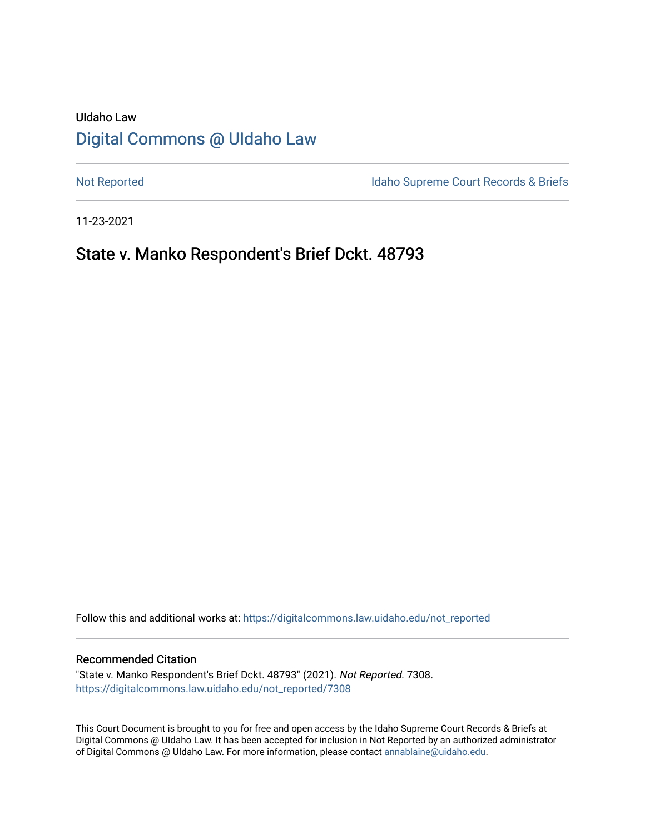# UIdaho Law [Digital Commons @ UIdaho Law](https://digitalcommons.law.uidaho.edu/)

[Not Reported](https://digitalcommons.law.uidaho.edu/not_reported) **Idaho Supreme Court Records & Briefs** 

11-23-2021

# State v. Manko Respondent's Brief Dckt. 48793

Follow this and additional works at: [https://digitalcommons.law.uidaho.edu/not\\_reported](https://digitalcommons.law.uidaho.edu/not_reported?utm_source=digitalcommons.law.uidaho.edu%2Fnot_reported%2F7308&utm_medium=PDF&utm_campaign=PDFCoverPages) 

#### Recommended Citation

"State v. Manko Respondent's Brief Dckt. 48793" (2021). Not Reported. 7308. [https://digitalcommons.law.uidaho.edu/not\\_reported/7308](https://digitalcommons.law.uidaho.edu/not_reported/7308?utm_source=digitalcommons.law.uidaho.edu%2Fnot_reported%2F7308&utm_medium=PDF&utm_campaign=PDFCoverPages)

This Court Document is brought to you for free and open access by the Idaho Supreme Court Records & Briefs at Digital Commons @ UIdaho Law. It has been accepted for inclusion in Not Reported by an authorized administrator of Digital Commons @ UIdaho Law. For more information, please contact [annablaine@uidaho.edu](mailto:annablaine@uidaho.edu).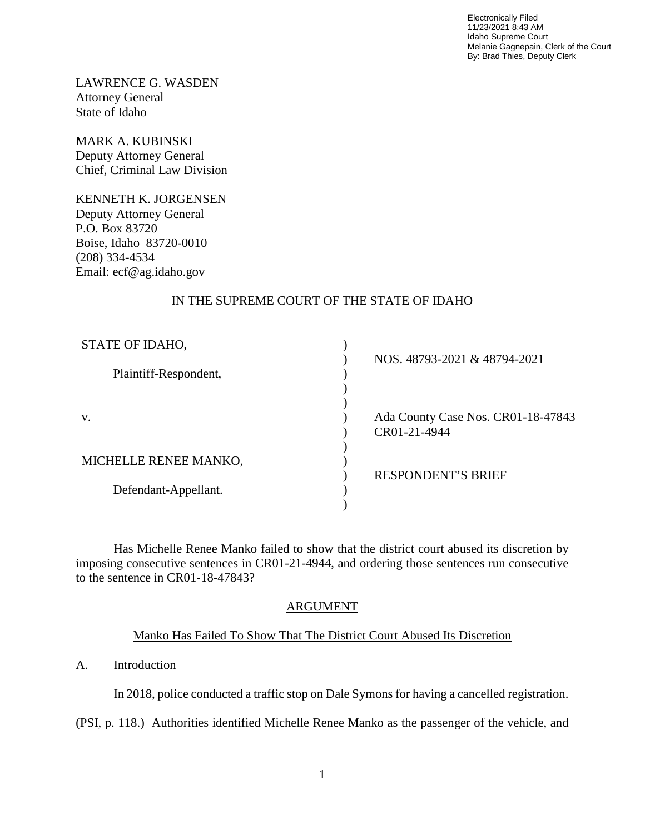Electronically Filed 11/23/2021 8:43 AM Idaho Supreme Court Melanie Gagnepain, Clerk of the Court By: Brad Thies, Deputy Clerk

LAWRENCE G. WASDEN Attorney General State of Idaho

MARK A. KUBINSKI Deputy Attorney General Chief, Criminal Law Division

KENNETH K. JORGENSEN Deputy Attorney General P.O. Box 83720 Boise, Idaho 83720-0010 (208) 334-4534 Email: ecf@ag.idaho.gov

## IN THE SUPREME COURT OF THE STATE OF IDAHO

| STATE OF IDAHO,       |                                    |
|-----------------------|------------------------------------|
|                       | NOS. 48793-2021 & 48794-2021       |
| Plaintiff-Respondent, |                                    |
|                       |                                    |
|                       |                                    |
| V.                    | Ada County Case Nos. CR01-18-47843 |
|                       | CR01-21-4944                       |
|                       |                                    |
| MICHELLE RENEE MANKO, |                                    |
|                       | <b>RESPONDENT'S BRIEF</b>          |
| Defendant-Appellant.  |                                    |
|                       |                                    |

Has Michelle Renee Manko failed to show that the district court abused its discretion by imposing consecutive sentences in CR01-21-4944, and ordering those sentences run consecutive to the sentence in CR01-18-47843?

## ARGUMENT

## Manko Has Failed To Show That The District Court Abused Its Discretion

### A. Introduction

In 2018, police conducted a traffic stop on Dale Symons for having a cancelled registration.

(PSI, p. 118.) Authorities identified Michelle Renee Manko as the passenger of the vehicle, and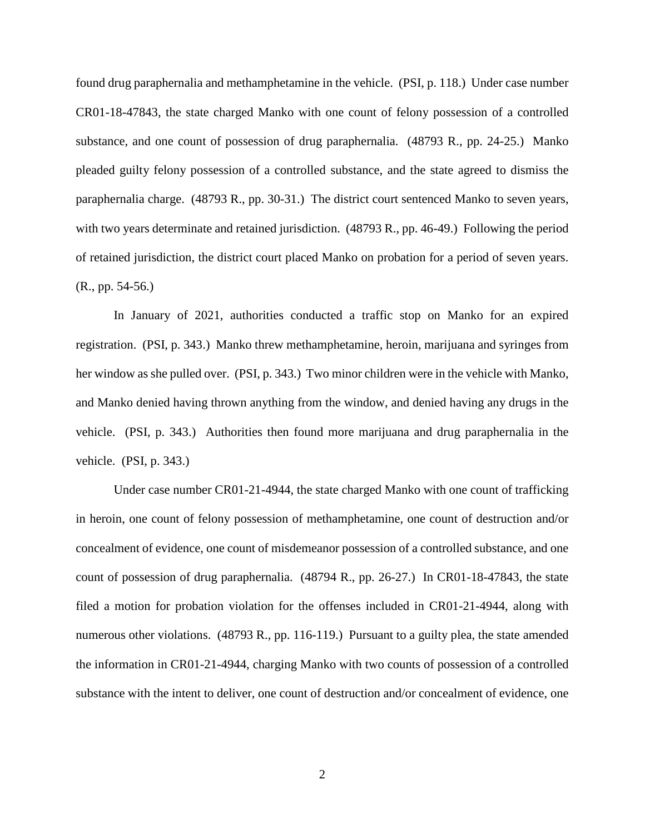found drug paraphernalia and methamphetamine in the vehicle. (PSI, p. 118.) Under case number CR01-18-47843, the state charged Manko with one count of felony possession of a controlled substance, and one count of possession of drug paraphernalia. (48793 R., pp. 24-25.) Manko pleaded guilty felony possession of a controlled substance, and the state agreed to dismiss the paraphernalia charge. (48793 R., pp. 30-31.) The district court sentenced Manko to seven years, with two years determinate and retained jurisdiction. (48793 R., pp. 46-49.) Following the period of retained jurisdiction, the district court placed Manko on probation for a period of seven years. (R., pp. 54-56.)

In January of 2021, authorities conducted a traffic stop on Manko for an expired registration. (PSI, p. 343.) Manko threw methamphetamine, heroin, marijuana and syringes from her window as she pulled over. (PSI, p. 343.) Two minor children were in the vehicle with Manko, and Manko denied having thrown anything from the window, and denied having any drugs in the vehicle. (PSI, p. 343.) Authorities then found more marijuana and drug paraphernalia in the vehicle. (PSI, p. 343.)

Under case number CR01-21-4944, the state charged Manko with one count of trafficking in heroin, one count of felony possession of methamphetamine, one count of destruction and/or concealment of evidence, one count of misdemeanor possession of a controlled substance, and one count of possession of drug paraphernalia. (48794 R., pp. 26-27.) In CR01-18-47843, the state filed a motion for probation violation for the offenses included in CR01-21-4944, along with numerous other violations. (48793 R., pp. 116-119.) Pursuant to a guilty plea, the state amended the information in CR01-21-4944, charging Manko with two counts of possession of a controlled substance with the intent to deliver, one count of destruction and/or concealment of evidence, one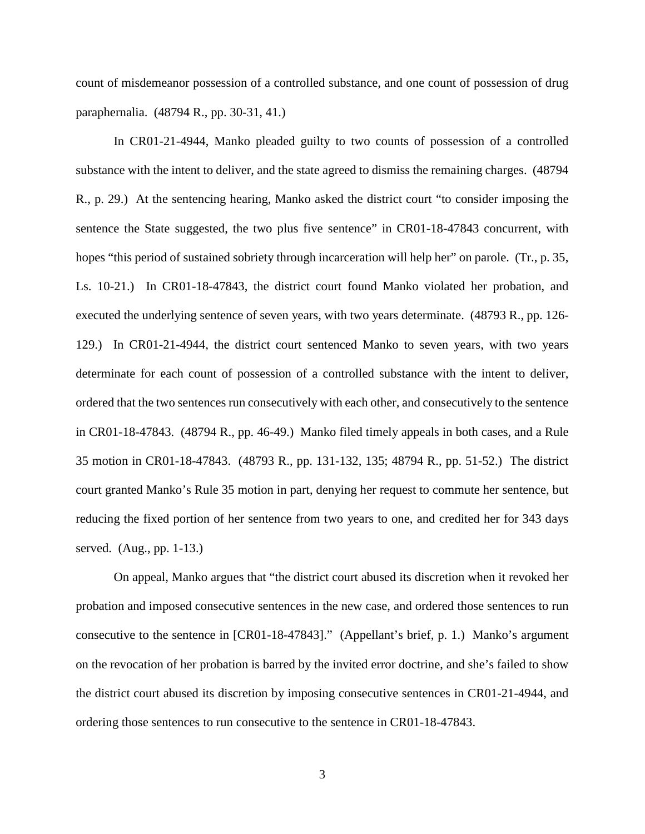count of misdemeanor possession of a controlled substance, and one count of possession of drug paraphernalia. (48794 R., pp. 30-31, 41.)

In CR01-21-4944, Manko pleaded guilty to two counts of possession of a controlled substance with the intent to deliver, and the state agreed to dismiss the remaining charges. (48794 R., p. 29.) At the sentencing hearing, Manko asked the district court "to consider imposing the sentence the State suggested, the two plus five sentence" in CR01-18-47843 concurrent, with hopes "this period of sustained sobriety through incarceration will help her" on parole. (Tr., p. 35, Ls. 10-21.) In CR01-18-47843, the district court found Manko violated her probation, and executed the underlying sentence of seven years, with two years determinate. (48793 R., pp. 126- 129.) In CR01-21-4944, the district court sentenced Manko to seven years, with two years determinate for each count of possession of a controlled substance with the intent to deliver, ordered that the two sentences run consecutively with each other, and consecutively to the sentence in CR01-18-47843. (48794 R., pp. 46-49.) Manko filed timely appeals in both cases, and a Rule 35 motion in CR01-18-47843. (48793 R., pp. 131-132, 135; 48794 R., pp. 51-52.) The district court granted Manko's Rule 35 motion in part, denying her request to commute her sentence, but reducing the fixed portion of her sentence from two years to one, and credited her for 343 days served. (Aug., pp. 1-13.)

On appeal, Manko argues that "the district court abused its discretion when it revoked her probation and imposed consecutive sentences in the new case, and ordered those sentences to run consecutive to the sentence in [CR01-18-47843]." (Appellant's brief, p. 1.) Manko's argument on the revocation of her probation is barred by the invited error doctrine, and she's failed to show the district court abused its discretion by imposing consecutive sentences in CR01-21-4944, and ordering those sentences to run consecutive to the sentence in CR01-18-47843.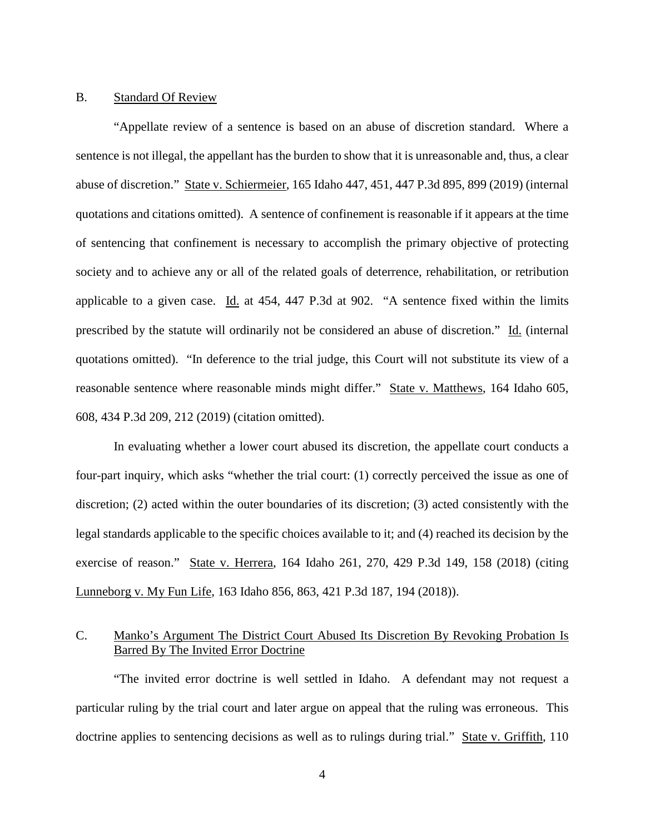#### B. Standard Of Review

"Appellate review of a sentence is based on an abuse of discretion standard. Where a sentence is not illegal, the appellant has the burden to show that it is unreasonable and, thus, a clear abuse of discretion." State v. Schiermeier, 165 Idaho 447, 451, 447 P.3d 895, 899 (2019) (internal quotations and citations omitted). A sentence of confinement is reasonable if it appears at the time of sentencing that confinement is necessary to accomplish the primary objective of protecting society and to achieve any or all of the related goals of deterrence, rehabilitation, or retribution applicable to a given case. Id. at 454, 447 P.3d at 902. "A sentence fixed within the limits prescribed by the statute will ordinarily not be considered an abuse of discretion." Id. (internal quotations omitted). "In deference to the trial judge, this Court will not substitute its view of a reasonable sentence where reasonable minds might differ." State v. Matthews, 164 Idaho 605, 608, 434 P.3d 209, 212 (2019) (citation omitted).

In evaluating whether a lower court abused its discretion, the appellate court conducts a four-part inquiry, which asks "whether the trial court: (1) correctly perceived the issue as one of discretion; (2) acted within the outer boundaries of its discretion; (3) acted consistently with the legal standards applicable to the specific choices available to it; and (4) reached its decision by the exercise of reason." State v. Herrera, 164 Idaho 261, 270, 429 P.3d 149, 158 (2018) (citing Lunneborg v. My Fun Life, 163 Idaho 856, 863, 421 P.3d 187, 194 (2018)).

### C. Manko's Argument The District Court Abused Its Discretion By Revoking Probation Is Barred By The Invited Error Doctrine

"The invited error doctrine is well settled in Idaho. A defendant may not request a particular ruling by the trial court and later argue on appeal that the ruling was erroneous. This doctrine applies to sentencing decisions as well as to rulings during trial." State v. Griffith, 110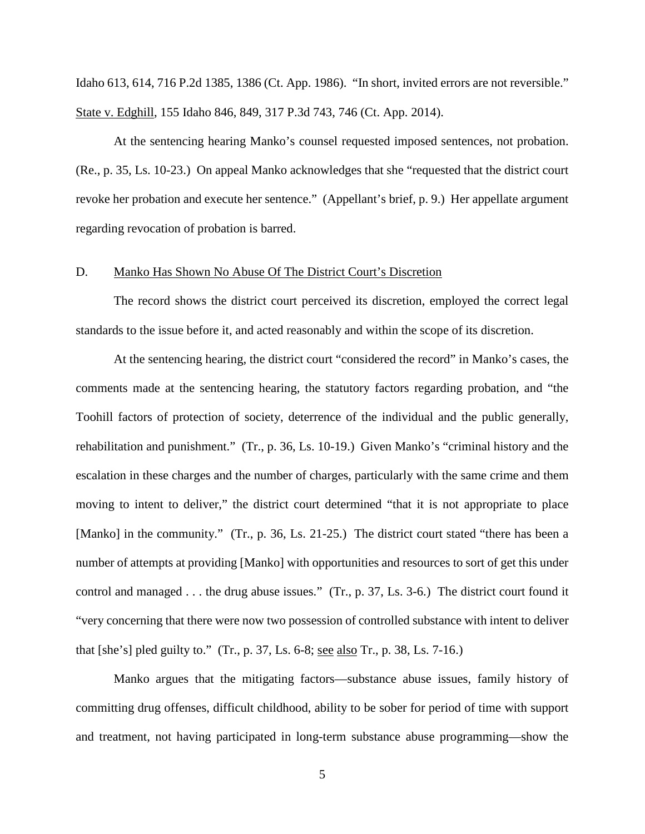Idaho 613, 614, 716 P.2d 1385, 1386 (Ct. App. 1986). "In short, invited errors are not reversible." State v. Edghill, 155 Idaho 846, 849, 317 P.3d 743, 746 (Ct. App. 2014).

At the sentencing hearing Manko's counsel requested imposed sentences, not probation. (Re., p. 35, Ls. 10-23.) On appeal Manko acknowledges that she "requested that the district court revoke her probation and execute her sentence." (Appellant's brief, p. 9.) Her appellate argument regarding revocation of probation is barred.

#### D. Manko Has Shown No Abuse Of The District Court's Discretion

The record shows the district court perceived its discretion, employed the correct legal standards to the issue before it, and acted reasonably and within the scope of its discretion.

At the sentencing hearing, the district court "considered the record" in Manko's cases, the comments made at the sentencing hearing, the statutory factors regarding probation, and "the Toohill factors of protection of society, deterrence of the individual and the public generally, rehabilitation and punishment." (Tr., p. 36, Ls. 10-19.) Given Manko's "criminal history and the escalation in these charges and the number of charges, particularly with the same crime and them moving to intent to deliver," the district court determined "that it is not appropriate to place [Manko] in the community." (Tr., p. 36, Ls. 21-25.) The district court stated "there has been a number of attempts at providing [Manko] with opportunities and resources to sort of get this under control and managed . . . the drug abuse issues." (Tr., p. 37, Ls. 3-6.) The district court found it "very concerning that there were now two possession of controlled substance with intent to deliver that [she's] pled guilty to." (Tr., p. 37, Ls. 6-8; see also Tr., p. 38, Ls. 7-16.)

Manko argues that the mitigating factors—substance abuse issues, family history of committing drug offenses, difficult childhood, ability to be sober for period of time with support and treatment, not having participated in long-term substance abuse programming—show the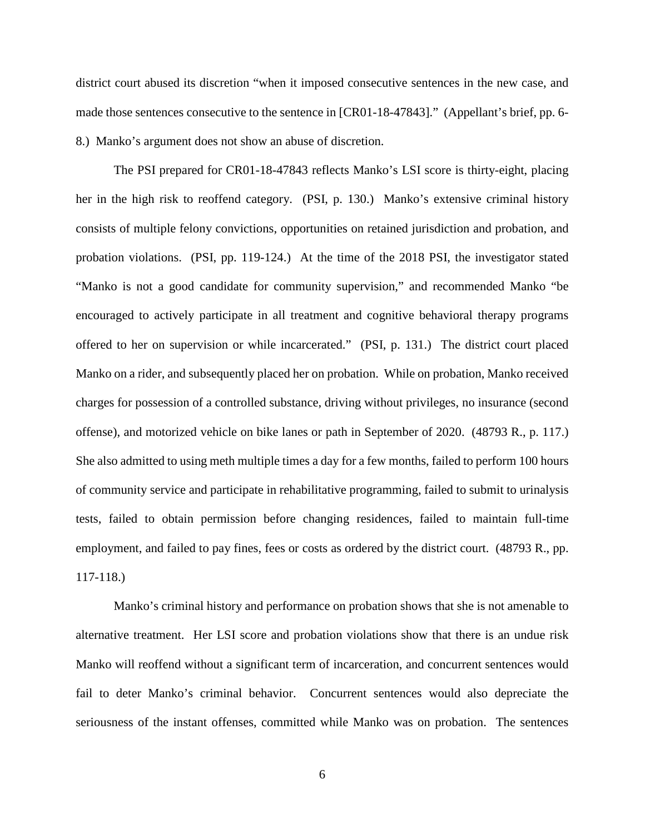district court abused its discretion "when it imposed consecutive sentences in the new case, and made those sentences consecutive to the sentence in [CR01-18-47843]." (Appellant's brief, pp. 6- 8.) Manko's argument does not show an abuse of discretion.

The PSI prepared for CR01-18-47843 reflects Manko's LSI score is thirty-eight, placing her in the high risk to reoffend category. (PSI, p. 130.) Manko's extensive criminal history consists of multiple felony convictions, opportunities on retained jurisdiction and probation, and probation violations. (PSI, pp. 119-124.) At the time of the 2018 PSI, the investigator stated "Manko is not a good candidate for community supervision," and recommended Manko "be encouraged to actively participate in all treatment and cognitive behavioral therapy programs offered to her on supervision or while incarcerated." (PSI, p. 131.) The district court placed Manko on a rider, and subsequently placed her on probation. While on probation, Manko received charges for possession of a controlled substance, driving without privileges, no insurance (second offense), and motorized vehicle on bike lanes or path in September of 2020. (48793 R., p. 117.) She also admitted to using meth multiple times a day for a few months, failed to perform 100 hours of community service and participate in rehabilitative programming, failed to submit to urinalysis tests, failed to obtain permission before changing residences, failed to maintain full-time employment, and failed to pay fines, fees or costs as ordered by the district court. (48793 R., pp. 117-118.)

 Manko's criminal history and performance on probation shows that she is not amenable to alternative treatment. Her LSI score and probation violations show that there is an undue risk Manko will reoffend without a significant term of incarceration, and concurrent sentences would fail to deter Manko's criminal behavior. Concurrent sentences would also depreciate the seriousness of the instant offenses, committed while Manko was on probation. The sentences